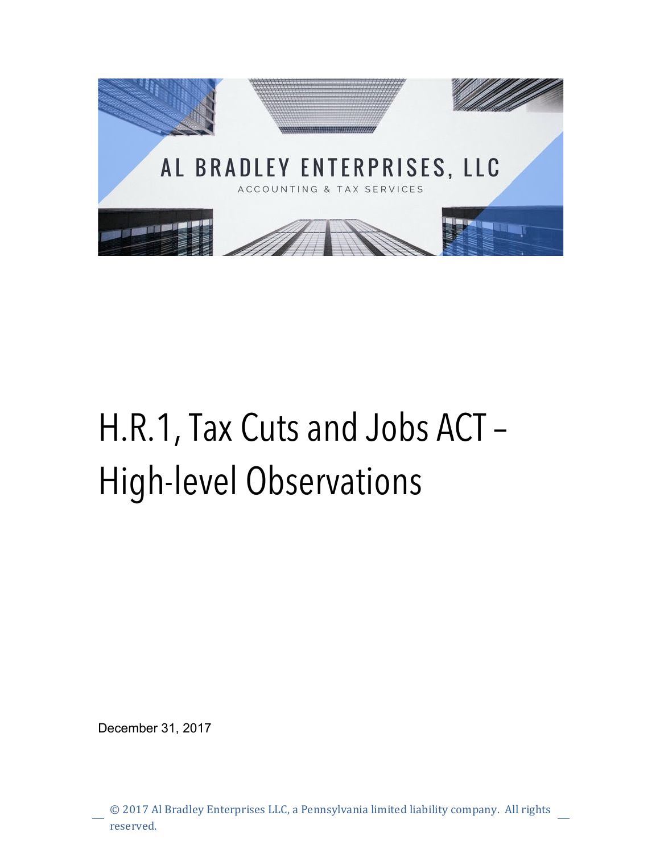

# H.R.1, Tax Cuts and Jobs ACT – High-level Observations

December 31, 2017

© 2017 Al Bradley Enterprises LLC, a Pennsylvania limited liability company. All rights reserved.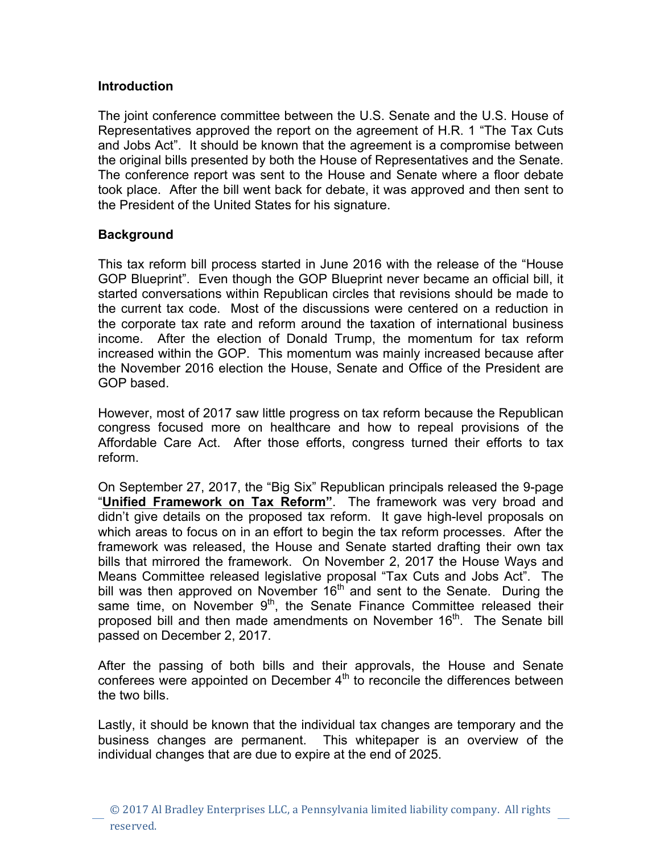## **Introduction**

The joint conference committee between the U.S. Senate and the U.S. House of Representatives approved the report on the agreement of H.R. 1 "The Tax Cuts and Jobs Act". It should be known that the agreement is a compromise between the original bills presented by both the House of Representatives and the Senate. The conference report was sent to the House and Senate where a floor debate took place. After the bill went back for debate, it was approved and then sent to the President of the United States for his signature.

# **Background**

This tax reform bill process started in June 2016 with the release of the "House GOP Blueprint". Even though the GOP Blueprint never became an official bill, it started conversations within Republican circles that revisions should be made to the current tax code. Most of the discussions were centered on a reduction in the corporate tax rate and reform around the taxation of international business income. After the election of Donald Trump, the momentum for tax reform increased within the GOP. This momentum was mainly increased because after the November 2016 election the House, Senate and Office of the President are GOP based.

However, most of 2017 saw little progress on tax reform because the Republican congress focused more on healthcare and how to repeal provisions of the Affordable Care Act. After those efforts, congress turned their efforts to tax reform.

On September 27, 2017, the "Big Six" Republican principals released the 9-page "**Unified Framework on Tax Reform"**. The framework was very broad and didn't give details on the proposed tax reform. It gave high-level proposals on which areas to focus on in an effort to begin the tax reform processes. After the framework was released, the House and Senate started drafting their own tax bills that mirrored the framework. On November 2, 2017 the House Ways and Means Committee released legislative proposal "Tax Cuts and Jobs Act". The bill was then approved on November  $16<sup>th</sup>$  and sent to the Senate. During the same time, on November 9<sup>th</sup>, the Senate Finance Committee released their proposed bill and then made amendments on November  $16<sup>th</sup>$ . The Senate bill passed on December 2, 2017.

After the passing of both bills and their approvals, the House and Senate conferees were appointed on December  $4<sup>th</sup>$  to reconcile the differences between the two bills.

Lastly, it should be known that the individual tax changes are temporary and the business changes are permanent. This whitepaper is an overview of the individual changes that are due to expire at the end of 2025.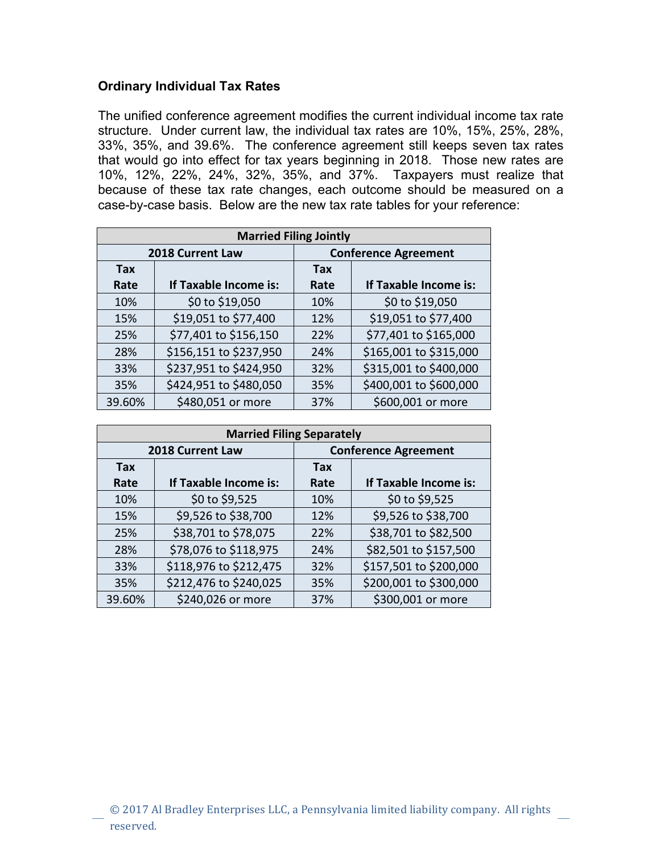## **Ordinary Individual Tax Rates**

The unified conference agreement modifies the current individual income tax rate structure. Under current law, the individual tax rates are 10%, 15%, 25%, 28%, 33%, 35%, and 39.6%. The conference agreement still keeps seven tax rates that would go into effect for tax years beginning in 2018. Those new rates are 10%, 12%, 22%, 24%, 32%, 35%, and 37%. Taxpayers must realize that because of these tax rate changes, each outcome should be measured on a case-by-case basis. Below are the new tax rate tables for your reference:

| <b>Married Filing Jointly</b> |                        |                             |                        |  |  |
|-------------------------------|------------------------|-----------------------------|------------------------|--|--|
| 2018 Current Law              |                        | <b>Conference Agreement</b> |                        |  |  |
| Tax                           |                        | <b>Tax</b>                  |                        |  |  |
| Rate                          | If Taxable Income is:  | Rate                        | If Taxable Income is:  |  |  |
| 10%                           | \$0 to \$19,050        | 10%                         | \$0 to \$19,050        |  |  |
| 15%                           | \$19,051 to \$77,400   | 12%                         | \$19,051 to \$77,400   |  |  |
| 25%                           | \$77,401 to \$156,150  | 22%                         | \$77,401 to \$165,000  |  |  |
| 28%                           | \$156,151 to \$237,950 | 24%                         | \$165,001 to \$315,000 |  |  |
| 33%                           | \$237,951 to \$424,950 | 32%                         | \$315,001 to \$400,000 |  |  |
| 35%                           | \$424,951 to \$480,050 | 35%                         | \$400,001 to \$600,000 |  |  |
| 39.60%                        | \$480,051 or more      | 37%                         | \$600,001 or more      |  |  |

| <b>Married Filing Separately</b> |                        |                             |                        |  |  |
|----------------------------------|------------------------|-----------------------------|------------------------|--|--|
| 2018 Current Law                 |                        | <b>Conference Agreement</b> |                        |  |  |
| Tax                              |                        | Tax                         |                        |  |  |
| Rate                             | If Taxable Income is:  | Rate                        | If Taxable Income is:  |  |  |
| 10%                              | \$0 to \$9,525         | 10%                         | \$0 to \$9,525         |  |  |
| 15%                              | \$9,526 to \$38,700    | 12%                         | \$9,526 to \$38,700    |  |  |
| 25%                              | \$38,701 to \$78,075   | 22%                         | \$38,701 to \$82,500   |  |  |
| 28%                              | \$78,076 to \$118,975  | 24%                         | \$82,501 to \$157,500  |  |  |
| 33%                              | \$118,976 to \$212,475 | 32%                         | \$157,501 to \$200,000 |  |  |
| 35%                              | \$212,476 to \$240,025 | 35%                         | \$200,001 to \$300,000 |  |  |
| 39.60%                           | \$240,026 or more      | 37%                         | \$300,001 or more      |  |  |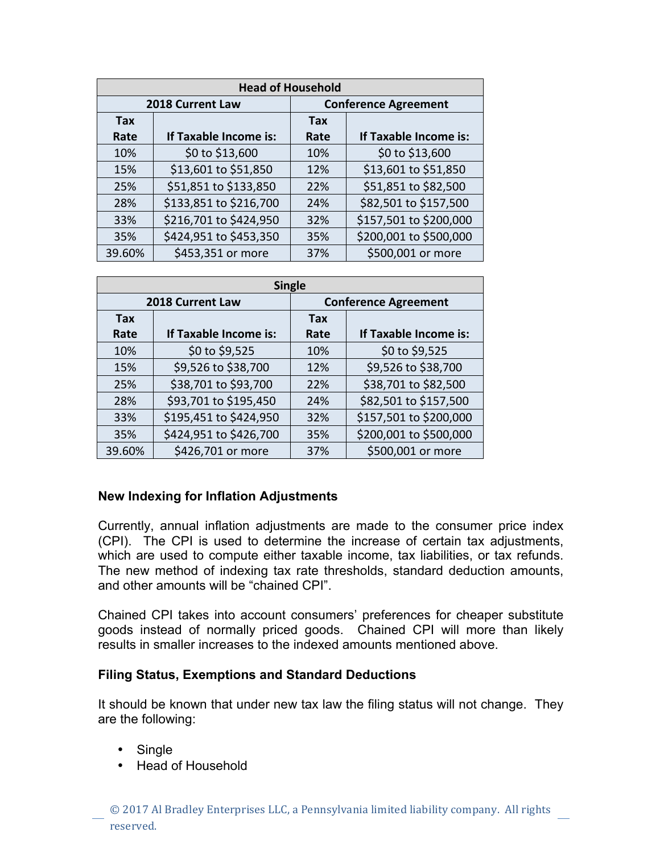| <b>Head of Household</b> |                        |                             |                        |  |  |
|--------------------------|------------------------|-----------------------------|------------------------|--|--|
| 2018 Current Law         |                        | <b>Conference Agreement</b> |                        |  |  |
| Tax                      |                        | Tax                         |                        |  |  |
| Rate                     | If Taxable Income is:  | Rate                        | If Taxable Income is:  |  |  |
| 10%                      | \$0 to \$13,600        | 10%                         | \$0 to \$13,600        |  |  |
| 15%                      | \$13,601 to \$51,850   | 12%                         | \$13,601 to \$51,850   |  |  |
| 25%                      | \$51,851 to \$133,850  | 22%                         | \$51,851 to \$82,500   |  |  |
| 28%                      | \$133,851 to \$216,700 | 24%                         | \$82,501 to \$157,500  |  |  |
| 33%                      | \$216,701 to \$424,950 | 32%                         | \$157,501 to \$200,000 |  |  |
| 35%                      | \$424,951 to \$453,350 | 35%                         | \$200,001 to \$500,000 |  |  |
| 39.60%                   | \$453,351 or more      | 37%                         | \$500,001 or more      |  |  |

| <b>Single</b>    |                        |                             |                        |  |  |
|------------------|------------------------|-----------------------------|------------------------|--|--|
| 2018 Current Law |                        | <b>Conference Agreement</b> |                        |  |  |
| Tax              |                        | <b>Tax</b>                  |                        |  |  |
| Rate             | If Taxable Income is:  | Rate                        | If Taxable Income is:  |  |  |
| 10%              | \$0 to \$9,525         | 10%                         | \$0 to \$9,525         |  |  |
| 15%              | \$9,526 to \$38,700    | 12%                         | \$9,526 to \$38,700    |  |  |
| 25%              | \$38,701 to \$93,700   | 22%                         | \$38,701 to \$82,500   |  |  |
| 28%              | \$93,701 to \$195,450  | 24%                         | \$82,501 to \$157,500  |  |  |
| 33%              | \$195,451 to \$424,950 | 32%                         | \$157,501 to \$200,000 |  |  |
| 35%              | \$424,951 to \$426,700 | 35%                         | \$200,001 to \$500,000 |  |  |
| 39.60%           | \$426,701 or more      | 37%                         | \$500,001 or more      |  |  |

## **New Indexing for Inflation Adjustments**

Currently, annual inflation adjustments are made to the consumer price index (CPI). The CPI is used to determine the increase of certain tax adjustments, which are used to compute either taxable income, tax liabilities, or tax refunds. The new method of indexing tax rate thresholds, standard deduction amounts, and other amounts will be "chained CPI".

Chained CPI takes into account consumers' preferences for cheaper substitute goods instead of normally priced goods. Chained CPI will more than likely results in smaller increases to the indexed amounts mentioned above.

## **Filing Status, Exemptions and Standard Deductions**

It should be known that under new tax law the filing status will not change. They are the following:

- Single
- Head of Household

© 2017 Al Bradley Enterprises LLC, a Pennsylvania limited liability company. All rights reserved.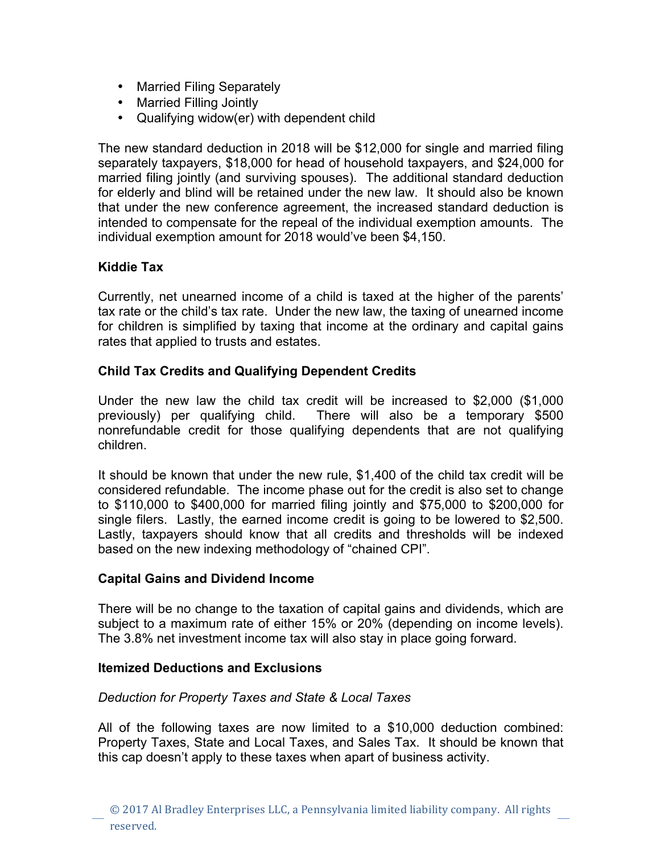- Married Filing Separately
- Married Filling Jointly
- Qualifying widow(er) with dependent child

The new standard deduction in 2018 will be \$12,000 for single and married filing separately taxpayers, \$18,000 for head of household taxpayers, and \$24,000 for married filing jointly (and surviving spouses). The additional standard deduction for elderly and blind will be retained under the new law. It should also be known that under the new conference agreement, the increased standard deduction is intended to compensate for the repeal of the individual exemption amounts. The individual exemption amount for 2018 would've been \$4,150.

## **Kiddie Tax**

Currently, net unearned income of a child is taxed at the higher of the parents' tax rate or the child's tax rate. Under the new law, the taxing of unearned income for children is simplified by taxing that income at the ordinary and capital gains rates that applied to trusts and estates.

## **Child Tax Credits and Qualifying Dependent Credits**

Under the new law the child tax credit will be increased to \$2,000 (\$1,000 previously) per qualifying child. There will also be a temporary \$500 nonrefundable credit for those qualifying dependents that are not qualifying children.

It should be known that under the new rule, \$1,400 of the child tax credit will be considered refundable. The income phase out for the credit is also set to change to \$110,000 to \$400,000 for married filing jointly and \$75,000 to \$200,000 for single filers. Lastly, the earned income credit is going to be lowered to \$2,500. Lastly, taxpayers should know that all credits and thresholds will be indexed based on the new indexing methodology of "chained CPI".

#### **Capital Gains and Dividend Income**

There will be no change to the taxation of capital gains and dividends, which are subject to a maximum rate of either 15% or 20% (depending on income levels). The 3.8% net investment income tax will also stay in place going forward.

#### **Itemized Deductions and Exclusions**

#### *Deduction for Property Taxes and State & Local Taxes*

All of the following taxes are now limited to a \$10,000 deduction combined: Property Taxes, State and Local Taxes, and Sales Tax. It should be known that this cap doesn't apply to these taxes when apart of business activity.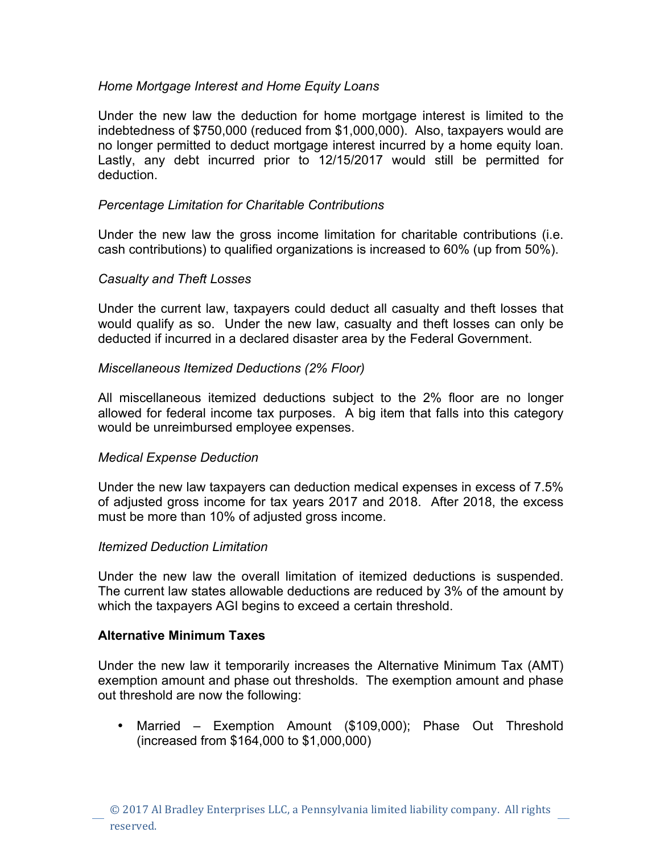## *Home Mortgage Interest and Home Equity Loans*

Under the new law the deduction for home mortgage interest is limited to the indebtedness of \$750,000 (reduced from \$1,000,000). Also, taxpayers would are no longer permitted to deduct mortgage interest incurred by a home equity loan. Lastly, any debt incurred prior to 12/15/2017 would still be permitted for deduction.

## *Percentage Limitation for Charitable Contributions*

Under the new law the gross income limitation for charitable contributions (i.e. cash contributions) to qualified organizations is increased to 60% (up from 50%).

## *Casualty and Theft Losses*

Under the current law, taxpayers could deduct all casualty and theft losses that would qualify as so. Under the new law, casualty and theft losses can only be deducted if incurred in a declared disaster area by the Federal Government.

## *Miscellaneous Itemized Deductions (2% Floor)*

All miscellaneous itemized deductions subject to the 2% floor are no longer allowed for federal income tax purposes. A big item that falls into this category would be unreimbursed employee expenses.

## *Medical Expense Deduction*

Under the new law taxpayers can deduction medical expenses in excess of 7.5% of adjusted gross income for tax years 2017 and 2018. After 2018, the excess must be more than 10% of adjusted gross income.

## *Itemized Deduction Limitation*

Under the new law the overall limitation of itemized deductions is suspended. The current law states allowable deductions are reduced by 3% of the amount by which the taxpayers AGI begins to exceed a certain threshold.

## **Alternative Minimum Taxes**

Under the new law it temporarily increases the Alternative Minimum Tax (AMT) exemption amount and phase out thresholds. The exemption amount and phase out threshold are now the following:

• Married – Exemption Amount (\$109,000); Phase Out Threshold (increased from \$164,000 to \$1,000,000)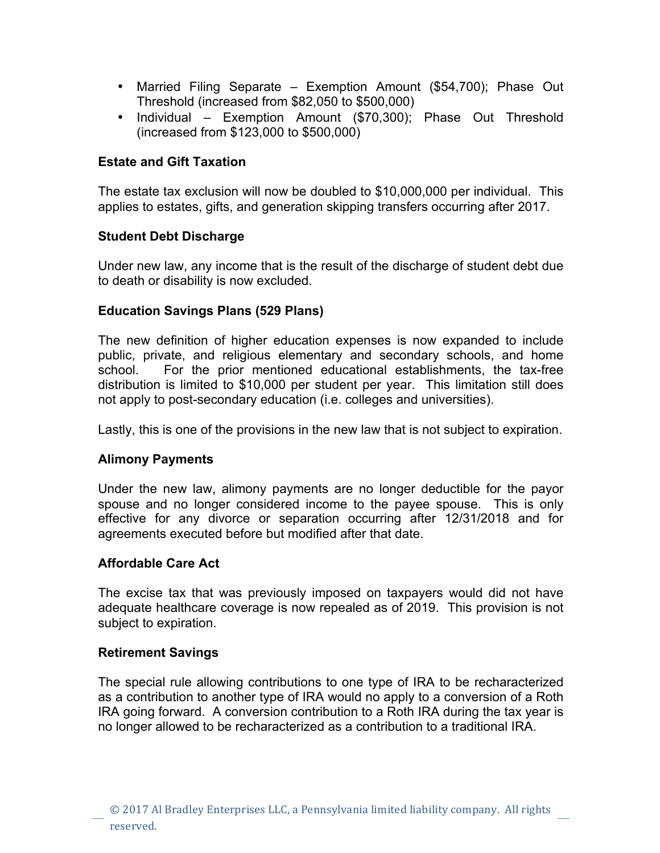- Married Filing Separate Exemption Amount (\$54,700); Phase Out Threshold (increased from \$82,050 to \$500,000)
- Individual Exemption Amount (\$70,300); Phase Out Threshold (increased from \$123,000 to \$500,000)

## **Estate and Gift Taxation**

The estate tax exclusion will now be doubled to \$10,000,000 per individual. This applies to estates, gifts, and generation skipping transfers occurring after 2017.

#### **Student Debt Discharge**

Under new law, any income that is the result of the discharge of student debt due to death or disability is now excluded.

#### **Education Savings Plans (529 Plans)**

The new definition of higher education expenses is now expanded to include public, private, and religious elementary and secondary schools, and home school. For the prior mentioned educational establishments, the tax-free distribution is limited to \$10,000 per student per year. This limitation still does not apply to post-secondary education (i.e. colleges and universities).

Lastly, this is one of the provisions in the new law that is not subject to expiration.

#### **Alimony Payments**

Under the new law, alimony payments are no longer deductible for the payor spouse and no longer considered income to the payee spouse. This is only effective for any divorce or separation occurring after 12/31/2018 and for agreements executed before but modified after that date.

#### **Affordable Care Act**

The excise tax that was previously imposed on taxpayers would did not have adequate healthcare coverage is now repealed as of 2019. This provision is not subject to expiration.

#### **Retirement Savings**

The special rule allowing contributions to one type of IRA to be recharacterized as a contribution to another type of IRA would no apply to a conversion of a Roth IRA going forward. A conversion contribution to a Roth IRA during the tax year is no longer allowed to be recharacterized as a contribution to a traditional IRA.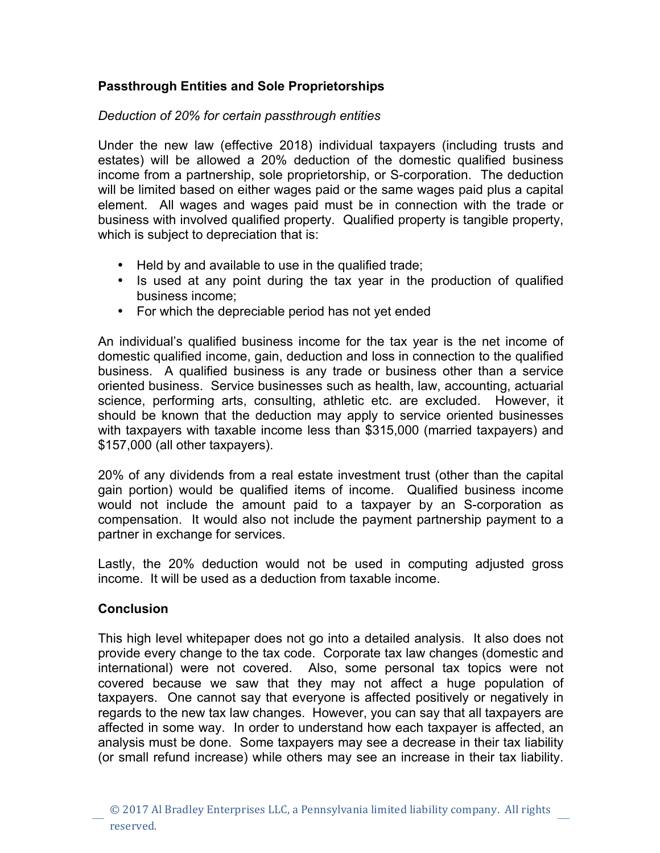# **Passthrough Entities and Sole Proprietorships**

## *Deduction of 20% for certain passthrough entities*

Under the new law (effective 2018) individual taxpayers (including trusts and estates) will be allowed a 20% deduction of the domestic qualified business income from a partnership, sole proprietorship, or S-corporation. The deduction will be limited based on either wages paid or the same wages paid plus a capital element. All wages and wages paid must be in connection with the trade or business with involved qualified property. Qualified property is tangible property, which is subject to depreciation that is:

- Held by and available to use in the qualified trade;
- Is used at any point during the tax year in the production of qualified business income;
- For which the depreciable period has not yet ended

An individual's qualified business income for the tax year is the net income of domestic qualified income, gain, deduction and loss in connection to the qualified business. A qualified business is any trade or business other than a service oriented business. Service businesses such as health, law, accounting, actuarial science, performing arts, consulting, athletic etc. are excluded. However, it should be known that the deduction may apply to service oriented businesses with taxpayers with taxable income less than \$315,000 (married taxpayers) and \$157,000 (all other taxpayers).

20% of any dividends from a real estate investment trust (other than the capital gain portion) would be qualified items of income. Qualified business income would not include the amount paid to a taxpayer by an S-corporation as compensation. It would also not include the payment partnership payment to a partner in exchange for services.

Lastly, the 20% deduction would not be used in computing adjusted gross income. It will be used as a deduction from taxable income.

## **Conclusion**

This high level whitepaper does not go into a detailed analysis. It also does not provide every change to the tax code. Corporate tax law changes (domestic and international) were not covered. Also, some personal tax topics were not covered because we saw that they may not affect a huge population of taxpayers. One cannot say that everyone is affected positively or negatively in regards to the new tax law changes. However, you can say that all taxpayers are affected in some way. In order to understand how each taxpayer is affected, an analysis must be done. Some taxpayers may see a decrease in their tax liability (or small refund increase) while others may see an increase in their tax liability.